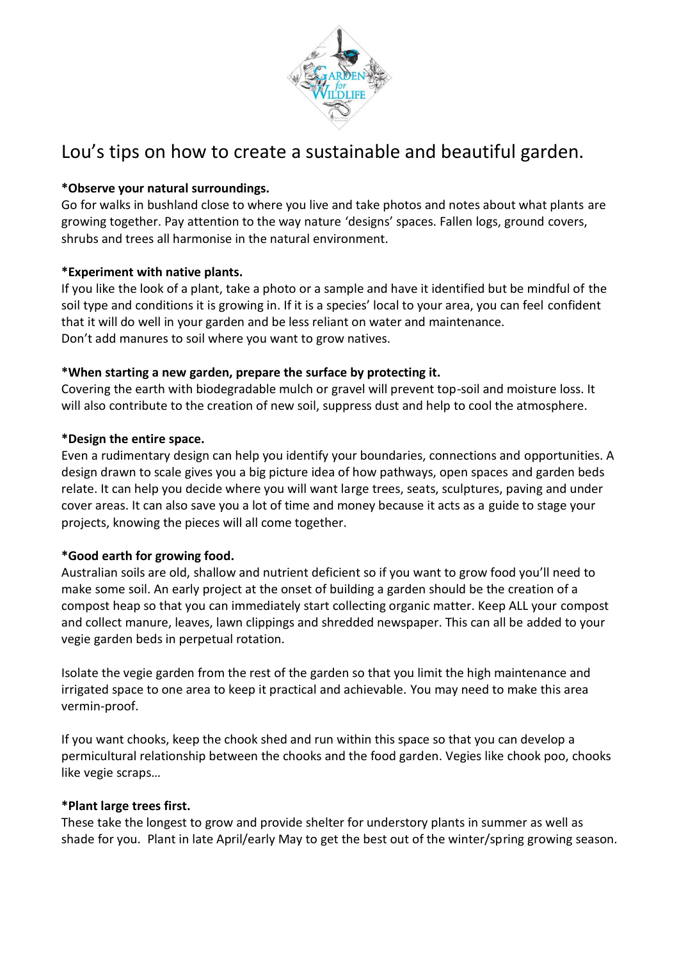

# Lou's tips on how to create a sustainable and beautiful garden.

## **\*Observe your natural surroundings.**

Go for walks in bushland close to where you live and take photos and notes about what plants are growing together. Pay attention to the way nature 'designs' spaces. Fallen logs, ground covers, shrubs and trees all harmonise in the natural environment.

## **\*Experiment with native plants.**

If you like the look of a plant, take a photo or a sample and have it identified but be mindful of the soil type and conditions it is growing in. If it is a species' local to your area, you can feel confident that it will do well in your garden and be less reliant on water and maintenance. Don't add manures to soil where you want to grow natives.

# **\*When starting a new garden, prepare the surface by protecting it.**

Covering the earth with biodegradable mulch or gravel will prevent top-soil and moisture loss. It will also contribute to the creation of new soil, suppress dust and help to cool the atmosphere.

# **\*Design the entire space.**

Even a rudimentary design can help you identify your boundaries, connections and opportunities. A design drawn to scale gives you a big picture idea of how pathways, open spaces and garden beds relate. It can help you decide where you will want large trees, seats, sculptures, paving and under cover areas. It can also save you a lot of time and money because it acts as a guide to stage your projects, knowing the pieces will all come together.

## **\*Good earth for growing food.**

Australian soils are old, shallow and nutrient deficient so if you want to grow food you'll need to make some soil. An early project at the onset of building a garden should be the creation of a compost heap so that you can immediately start collecting organic matter. Keep ALL your compost and collect manure, leaves, lawn clippings and shredded newspaper. This can all be added to your vegie garden beds in perpetual rotation.

Isolate the vegie garden from the rest of the garden so that you limit the high maintenance and irrigated space to one area to keep it practical and achievable. You may need to make this area vermin-proof.

If you want chooks, keep the chook shed and run within this space so that you can develop a permicultural relationship between the chooks and the food garden. Vegies like chook poo, chooks like vegie scraps…

## **\*Plant large trees first.**

These take the longest to grow and provide shelter for understory plants in summer as well as shade for you. Plant in late April/early May to get the best out of the winter/spring growing season.